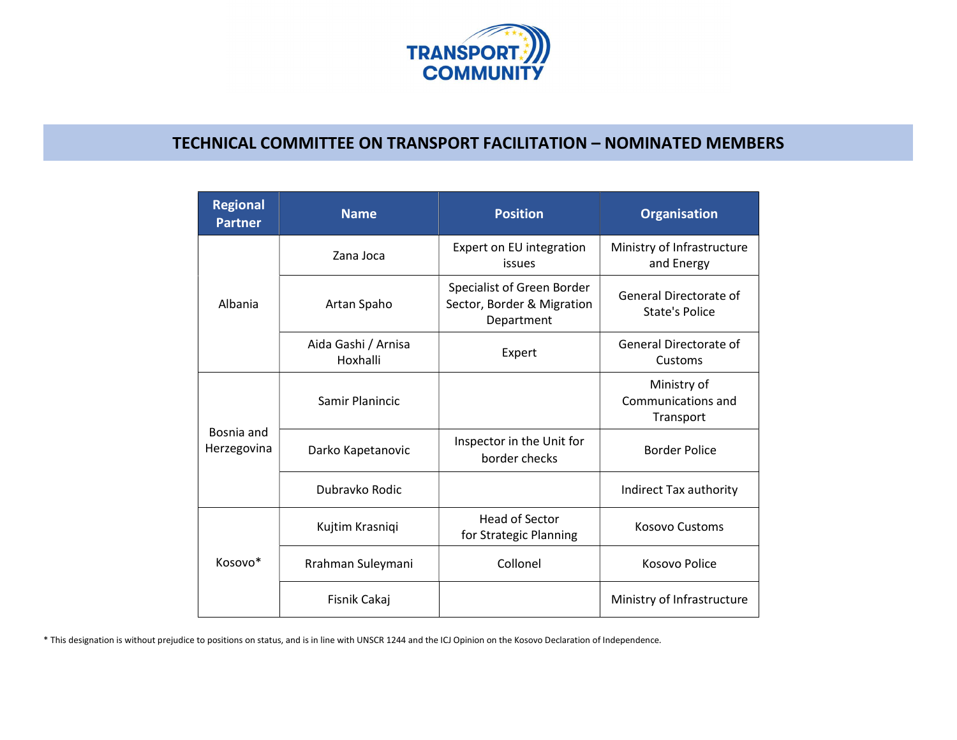

## TECHNICAL COMMITTEE ON TRANSPORT FACILITATION – NOMINATED MEMBERS

| <b>Regional</b><br><b>Partner</b> | <b>Name</b>                     | <b>Position</b>                                                        | <b>Organisation</b>                            |
|-----------------------------------|---------------------------------|------------------------------------------------------------------------|------------------------------------------------|
| Albania                           | Zana Joca                       | Expert on EU integration<br>issues                                     | Ministry of Infrastructure<br>and Energy       |
|                                   | Artan Spaho                     | Specialist of Green Border<br>Sector, Border & Migration<br>Department | General Directorate of<br>State's Police       |
|                                   | Aida Gashi / Arnisa<br>Hoxhalli | Expert                                                                 | General Directorate of<br>Customs              |
| Bosnia and<br>Herzegovina         | Samir Planincic                 |                                                                        | Ministry of<br>Communications and<br>Transport |
|                                   | Darko Kapetanovic               | Inspector in the Unit for<br>border checks                             | <b>Border Police</b>                           |
|                                   | Dubravko Rodic                  |                                                                        | Indirect Tax authority                         |
| Kosovo*                           | Kujtim Krasniqi                 | <b>Head of Sector</b><br>for Strategic Planning                        | <b>Kosovo Customs</b>                          |
|                                   | Rrahman Suleymani               | Collonel                                                               | Kosovo Police                                  |
|                                   | Fisnik Cakaj                    |                                                                        | Ministry of Infrastructure                     |

\* This designation is without prejudice to positions on status, and is in line with UNSCR 1244 and the ICJ Opinion on the Kosovo Declaration of Independence.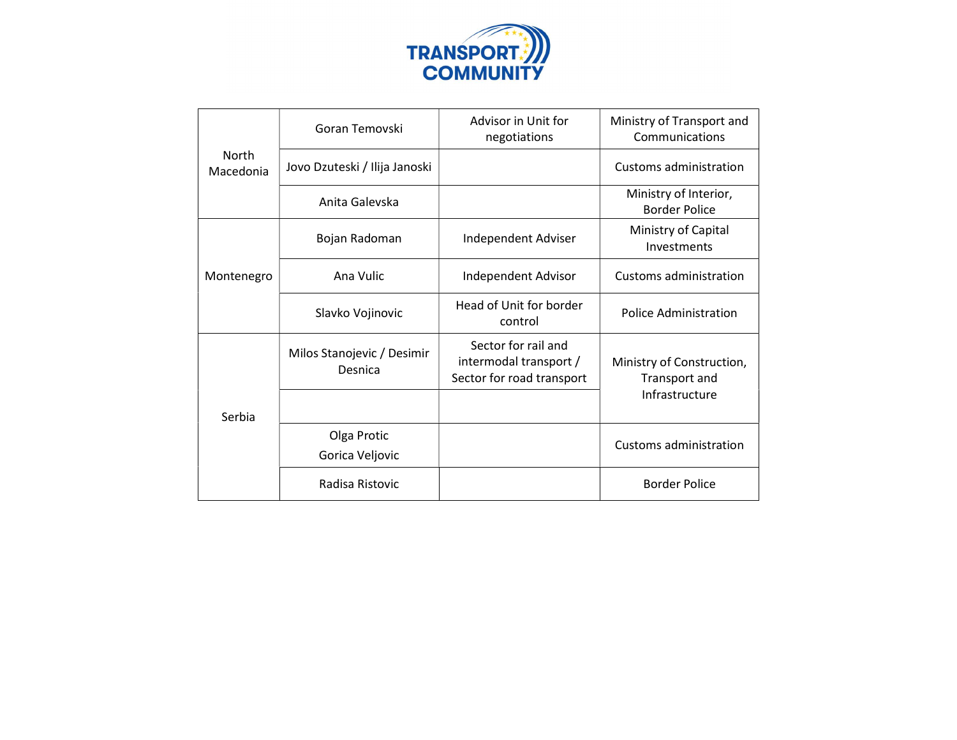

| <b>North</b><br>Macedonia | Goran Temovski                        | Advisor in Unit for<br>negotiations                                        | Ministry of Transport and<br>Communications                  |
|---------------------------|---------------------------------------|----------------------------------------------------------------------------|--------------------------------------------------------------|
|                           | Jovo Dzuteski / Ilija Janoski         |                                                                            | Customs administration                                       |
|                           | Anita Galevska                        |                                                                            | Ministry of Interior,<br><b>Border Police</b>                |
| Montenegro                | Bojan Radoman                         | Independent Adviser                                                        | Ministry of Capital<br>Investments                           |
|                           | Ana Vulic                             | Independent Advisor                                                        | Customs administration                                       |
|                           | Slavko Vojinovic                      | Head of Unit for border<br>control                                         | <b>Police Administration</b>                                 |
| Serbia                    | Milos Stanojevic / Desimir<br>Desnica | Sector for rail and<br>intermodal transport /<br>Sector for road transport | Ministry of Construction,<br>Transport and<br>Infrastructure |
|                           |                                       |                                                                            |                                                              |
|                           | Olga Protic<br>Gorica Veljovic        |                                                                            | Customs administration                                       |
|                           | Radisa Ristovic                       |                                                                            | <b>Border Police</b>                                         |